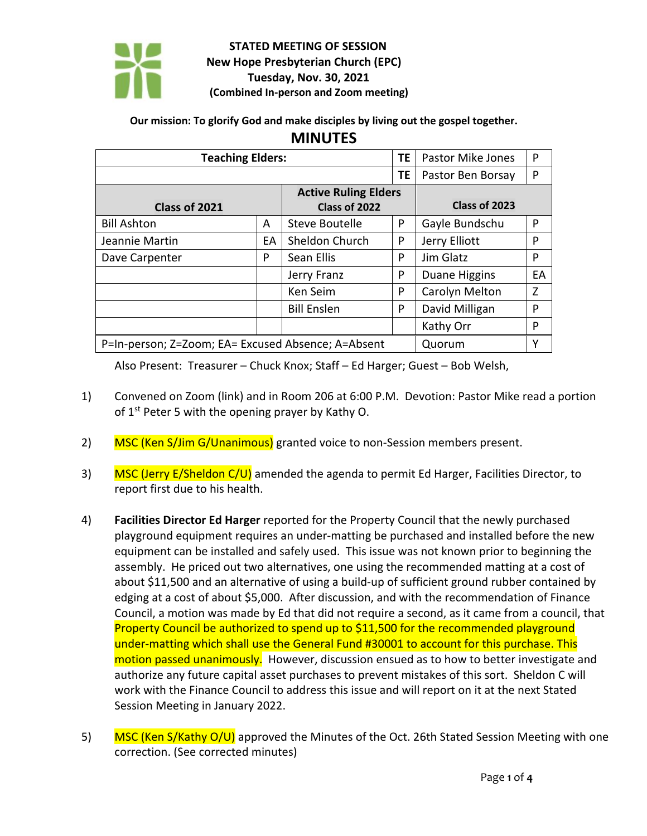

## **STATED MEETING OF SESSION New Hope Presbyterian Church (EPC) Tuesday, Nov. 30, 2021 (Combined In-person and Zoom meeting)**

#### **Our mission: To glorify God and make disciples by living out the gospel together.**

#### **MINUTES**

| <b>Teaching Elders:</b>                            |    |                             | ΤE | Pastor Mike Jones | P  |
|----------------------------------------------------|----|-----------------------------|----|-------------------|----|
|                                                    |    |                             | ΤE | Pastor Ben Borsay | P  |
|                                                    |    | <b>Active Ruling Elders</b> |    |                   |    |
| Class of 2021                                      |    | Class of 2022               |    | Class of 2023     |    |
| <b>Bill Ashton</b>                                 | A  | Steve Boutelle              | P  | Gayle Bundschu    | P  |
| Jeannie Martin                                     | EA | Sheldon Church              | P  | Jerry Elliott     | P  |
| Dave Carpenter                                     | P  | Sean Ellis                  | P  | Jim Glatz         | P  |
|                                                    |    | Jerry Franz                 | P  | Duane Higgins     | EA |
|                                                    |    | Ken Seim                    | P  | Carolyn Melton    | Z  |
|                                                    |    | <b>Bill Enslen</b>          | P  | David Milligan    | P  |
|                                                    |    |                             |    | Kathy Orr         | P  |
| P=In-person; Z=Zoom; EA= Excused Absence; A=Absent |    |                             |    | Quorum            | γ  |

Also Present: Treasurer – Chuck Knox; Staff – Ed Harger; Guest – Bob Welsh,

- 1) Convened on Zoom (link) and in Room 206 at 6:00 P.M. Devotion: Pastor Mike read a portion of  $1<sup>st</sup>$  Peter 5 with the opening prayer by Kathy O.
- 2) MSC (Ken S/Jim G/Unanimous) granted voice to non-Session members present.
- 3) MSC (Jerry E/Sheldon C/U) amended the agenda to permit Ed Harger, Facilities Director, to report first due to his health.
- 4) **Facilities Director Ed Harger** reported for the Property Council that the newly purchased playground equipment requires an under-matting be purchased and installed before the new equipment can be installed and safely used. This issue was not known prior to beginning the assembly. He priced out two alternatives, one using the recommended matting at a cost of about \$11,500 and an alternative of using a build-up of sufficient ground rubber contained by edging at a cost of about \$5,000. After discussion, and with the recommendation of Finance Council, a motion was made by Ed that did not require a second, as it came from a council, that Property Council be authorized to spend up to \$11,500 for the recommended playground under-matting which shall use the General Fund #30001 to account for this purchase. This motion passed unanimously. However, discussion ensued as to how to better investigate and authorize any future capital asset purchases to prevent mistakes of this sort. Sheldon C will work with the Finance Council to address this issue and will report on it at the next Stated Session Meeting in January 2022.
- 5) MSC (Ken S/Kathy O/U) approved the Minutes of the Oct. 26th Stated Session Meeting with one correction. (See corrected minutes)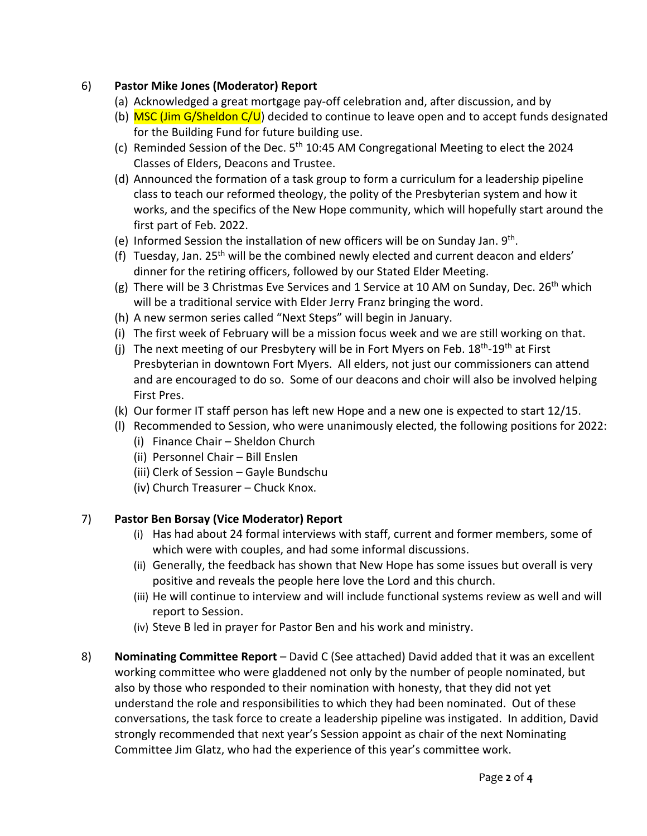## 6) **Pastor Mike Jones (Moderator) Report**

- (a) Acknowledged a great mortgage pay-off celebration and, after discussion, and by
- (b) MSC (Jim G/Sheldon  $C/U$ ) decided to continue to leave open and to accept funds designated for the Building Fund for future building use.
- (c) Reminded Session of the Dec. 5th 10:45 AM Congregational Meeting to elect the 2024 Classes of Elders, Deacons and Trustee.
- (d) Announced the formation of a task group to form a curriculum for a leadership pipeline class to teach our reformed theology, the polity of the Presbyterian system and how it works, and the specifics of the New Hope community, which will hopefully start around the first part of Feb. 2022.
- (e) Informed Session the installation of new officers will be on Sunday Jan. 9<sup>th</sup>.
- (f) Tuesday, Jan.  $25<sup>th</sup>$  will be the combined newly elected and current deacon and elders' dinner for the retiring officers, followed by our Stated Elder Meeting.
- (g) There will be 3 Christmas Eve Services and 1 Service at 10 AM on Sunday, Dec. 26<sup>th</sup> which will be a traditional service with Elder Jerry Franz bringing the word.
- (h) A new sermon series called "Next Steps" will begin in January.
- (i) The first week of February will be a mission focus week and we are still working on that.
- (i) The next meeting of our Presbytery will be in Fort Myers on Feb.  $18<sup>th</sup> 19<sup>th</sup>$  at First Presbyterian in downtown Fort Myers. All elders, not just our commissioners can attend and are encouraged to do so. Some of our deacons and choir will also be involved helping First Pres.
- (k) Our former IT staff person has left new Hope and a new one is expected to start 12/15.
- (l) Recommended to Session, who were unanimously elected, the following positions for 2022:
	- (i) Finance Chair Sheldon Church
	- (ii) Personnel Chair Bill Enslen
	- (iii) Clerk of Session Gayle Bundschu
	- (iv) Church Treasurer Chuck Knox.

## 7) **Pastor Ben Borsay (Vice Moderator) Report**

- (i) Has had about 24 formal interviews with staff, current and former members, some of which were with couples, and had some informal discussions.
- (ii) Generally, the feedback has shown that New Hope has some issues but overall is very positive and reveals the people here love the Lord and this church.
- (iii) He will continue to interview and will include functional systems review as well and will report to Session.
- (iv) Steve B led in prayer for Pastor Ben and his work and ministry.
- 8) **Nominating Committee Report** David C (See attached) David added that it was an excellent working committee who were gladdened not only by the number of people nominated, but also by those who responded to their nomination with honesty, that they did not yet understand the role and responsibilities to which they had been nominated. Out of these conversations, the task force to create a leadership pipeline was instigated. In addition, David strongly recommended that next year's Session appoint as chair of the next Nominating Committee Jim Glatz, who had the experience of this year's committee work.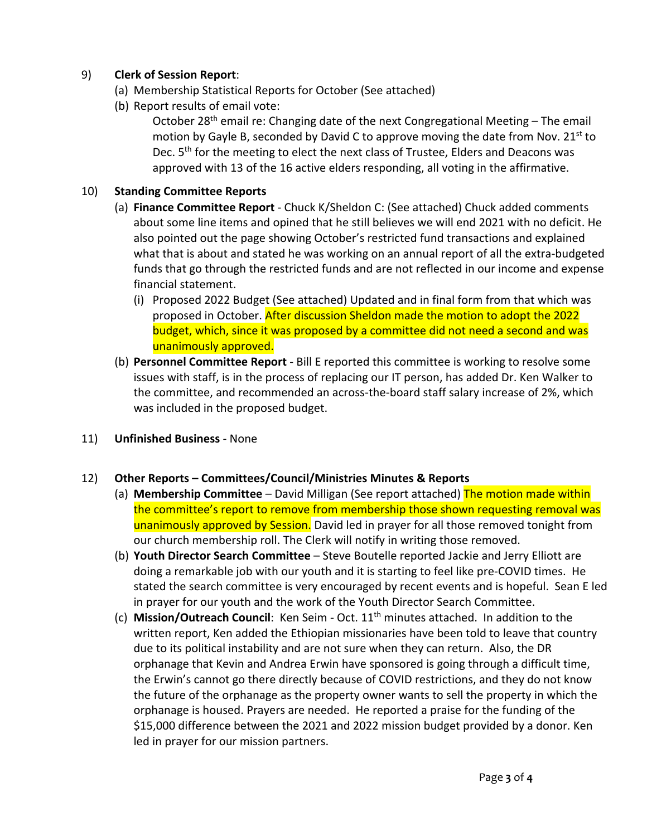# 9) **Clerk of Session Report**:

- (a) Membership Statistical Reports for October (See attached)
- (b) Report results of email vote:

October 28<sup>th</sup> email re: Changing date of the next Congregational Meeting – The email motion by Gayle B, seconded by David C to approve moving the date from Nov.  $21^{st}$  to Dec. 5<sup>th</sup> for the meeting to elect the next class of Trustee, Elders and Deacons was approved with 13 of the 16 active elders responding, all voting in the affirmative.

## 10) **Standing Committee Reports**

- (a) **Finance Committee Report**  Chuck K/Sheldon C: (See attached) Chuck added comments about some line items and opined that he still believes we will end 2021 with no deficit. He also pointed out the page showing October's restricted fund transactions and explained what that is about and stated he was working on an annual report of all the extra-budgeted funds that go through the restricted funds and are not reflected in our income and expense financial statement.
	- (i) Proposed 2022 Budget (See attached) Updated and in final form from that which was proposed in October. After discussion Sheldon made the motion to adopt the 2022 budget, which, since it was proposed by a committee did not need a second and was unanimously approved.
- (b) **Personnel Committee Report**  Bill E reported this committee is working to resolve some issues with staff, is in the process of replacing our IT person, has added Dr. Ken Walker to the committee, and recommended an across-the-board staff salary increase of 2%, which was included in the proposed budget.
- 11) **Unfinished Business** None

#### 12) **Other Reports – Committees/Council/Ministries Minutes & Reports**

- (a) **Membership Committee** David Milligan (See report attached) The motion made within the committee's report to remove from membership those shown requesting removal was unanimously approved by Session. David led in prayer for all those removed tonight from our church membership roll. The Clerk will notify in writing those removed.
- (b) **Youth Director Search Committee**  Steve Boutelle reported Jackie and Jerry Elliott are doing a remarkable job with our youth and it is starting to feel like pre-COVID times. He stated the search committee is very encouraged by recent events and is hopeful. Sean E led in prayer for our youth and the work of the Youth Director Search Committee.
- (c) **Mission/Outreach Council**: Ken Seim Oct. 11th minutes attached. In addition to the written report, Ken added the Ethiopian missionaries have been told to leave that country due to its political instability and are not sure when they can return. Also, the DR orphanage that Kevin and Andrea Erwin have sponsored is going through a difficult time, the Erwin's cannot go there directly because of COVID restrictions, and they do not know the future of the orphanage as the property owner wants to sell the property in which the orphanage is housed. Prayers are needed. He reported a praise for the funding of the \$15,000 difference between the 2021 and 2022 mission budget provided by a donor. Ken led in prayer for our mission partners.